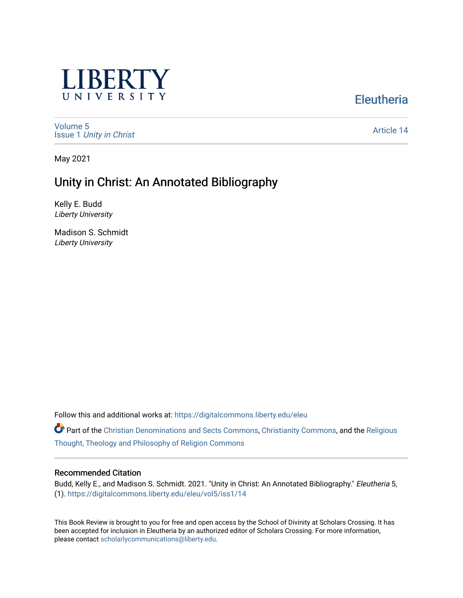

**Eleutheria** 

[Volume 5](https://digitalcommons.liberty.edu/eleu/vol5) Issue 1 [Unity in Christ](https://digitalcommons.liberty.edu/eleu/vol5/iss1) 

[Article 14](https://digitalcommons.liberty.edu/eleu/vol5/iss1/14) 

May 2021

# Unity in Christ: An Annotated Bibliography

Kelly E. Budd Liberty University

Madison S. Schmidt Liberty University

Follow this and additional works at: [https://digitalcommons.liberty.edu/eleu](https://digitalcommons.liberty.edu/eleu?utm_source=digitalcommons.liberty.edu%2Feleu%2Fvol5%2Fiss1%2F14&utm_medium=PDF&utm_campaign=PDFCoverPages) 

Part of the [Christian Denominations and Sects Commons,](http://network.bepress.com/hgg/discipline/1184?utm_source=digitalcommons.liberty.edu%2Feleu%2Fvol5%2Fiss1%2F14&utm_medium=PDF&utm_campaign=PDFCoverPages) [Christianity Commons,](http://network.bepress.com/hgg/discipline/1181?utm_source=digitalcommons.liberty.edu%2Feleu%2Fvol5%2Fiss1%2F14&utm_medium=PDF&utm_campaign=PDFCoverPages) and the [Religious](http://network.bepress.com/hgg/discipline/544?utm_source=digitalcommons.liberty.edu%2Feleu%2Fvol5%2Fiss1%2F14&utm_medium=PDF&utm_campaign=PDFCoverPages)  [Thought, Theology and Philosophy of Religion Commons](http://network.bepress.com/hgg/discipline/544?utm_source=digitalcommons.liberty.edu%2Feleu%2Fvol5%2Fiss1%2F14&utm_medium=PDF&utm_campaign=PDFCoverPages)

#### Recommended Citation

Budd, Kelly E., and Madison S. Schmidt. 2021. "Unity in Christ: An Annotated Bibliography." Eleutheria 5, (1). [https://digitalcommons.liberty.edu/eleu/vol5/iss1/14](https://digitalcommons.liberty.edu/eleu/vol5/iss1/14?utm_source=digitalcommons.liberty.edu%2Feleu%2Fvol5%2Fiss1%2F14&utm_medium=PDF&utm_campaign=PDFCoverPages) 

This Book Review is brought to you for free and open access by the School of Divinity at Scholars Crossing. It has been accepted for inclusion in Eleutheria by an authorized editor of Scholars Crossing. For more information, please contact [scholarlycommunications@liberty.edu.](mailto:scholarlycommunications@liberty.edu)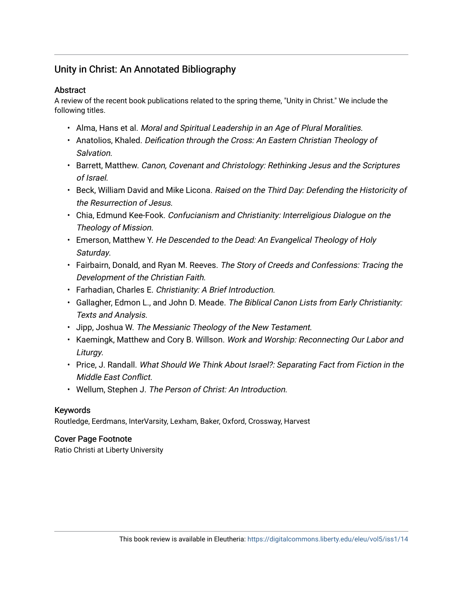# Unity in Christ: An Annotated Bibliography

### **Abstract**

A review of the recent book publications related to the spring theme, "Unity in Christ." We include the following titles.

- Alma, Hans et al. Moral and Spiritual Leadership in an Age of Plural Moralities.
- Anatolios, Khaled. Deification through the Cross: An Eastern Christian Theology of Salvation.
- Barrett, Matthew. Canon, Covenant and Christology: Rethinking Jesus and the Scriptures of Israel.
- Beck, William David and Mike Licona. Raised on the Third Day: Defending the Historicity of the Resurrection of Jesus.
- Chia, Edmund Kee-Fook. Confucianism and Christianity: Interreligious Dialogue on the Theology of Mission.
- Emerson, Matthew Y. He Descended to the Dead: An Evangelical Theology of Holy Saturday.
- Fairbairn, Donald, and Ryan M. Reeves. The Story of Creeds and Confessions: Tracing the Development of the Christian Faith.
- Farhadian, Charles E. Christianity: A Brief Introduction.
- Gallagher, Edmon L., and John D. Meade. The Biblical Canon Lists from Early Christianity: Texts and Analysis.
- Jipp, Joshua W. The Messianic Theology of the New Testament.
- Kaemingk, Matthew and Cory B. Willson. Work and Worship: Reconnecting Our Labor and Liturgy.
- Price, J. Randall. What Should We Think About Israel?: Separating Fact from Fiction in the Middle East Conflict.
- Wellum, Stephen J. The Person of Christ: An Introduction.

# Keywords

Routledge, Eerdmans, InterVarsity, Lexham, Baker, Oxford, Crossway, Harvest

# Cover Page Footnote

Ratio Christi at Liberty University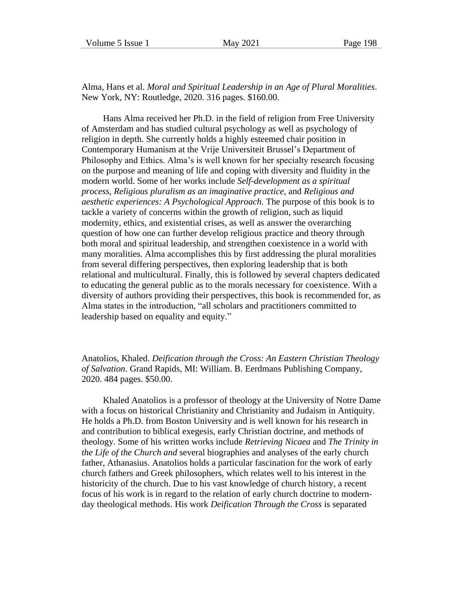Alma, Hans et al. *Moral and Spiritual Leadership in an Age of Plural Moralities*. New York, NY: Routledge, 2020. 316 pages. \$160.00.

Hans Alma received her Ph.D. in the field of religion from Free University of Amsterdam and has studied cultural psychology as well as psychology of religion in depth. She currently holds a highly esteemed chair position in Contemporary Humanism at the Vrije Universiteit Brussel's Department of Philosophy and Ethics. Alma's is well known for her specialty research focusing on the purpose and meaning of life and coping with diversity and fluidity in the modern world. Some of her works include *Self-development as a spiritual process, Religious pluralism as an imaginative practice,* and *Religious and aesthetic experiences: A Psychological Approach.* The purpose of this book is to tackle a variety of concerns within the growth of religion, such as liquid modernity, ethics, and existential crises, as well as answer the overarching question of how one can further develop religious practice and theory through both moral and spiritual leadership, and strengthen coexistence in a world with many moralities. Alma accomplishes this by first addressing the plural moralities from several differing perspectives, then exploring leadership that is both relational and multicultural. Finally, this is followed by several chapters dedicated to educating the general public as to the morals necessary for coexistence. With a diversity of authors providing their perspectives, this book is recommended for, as Alma states in the introduction, "all scholars and practitioners committed to leadership based on equality and equity."

Anatolios, Khaled. *Deification through the Cross: An Eastern Christian Theology of Salvation*. Grand Rapids, MI: William. B. Eerdmans Publishing Company, 2020. 484 pages. \$50.00.

Khaled Anatolios is a professor of theology at the University of Notre Dame with a focus on historical Christianity and Christianity and Judaism in Antiquity. He holds a Ph.D. from Boston University and is well known for his research in and contribution to biblical exegesis, early Christian doctrine, and methods of theology. Some of his written works include *Retrieving Nicaea* and *The Trinity in the Life of the Church and* several biographies and analyses of the early church father, Athanasius. Anatolios holds a particular fascination for the work of early church fathers and Greek philosophers, which relates well to his interest in the historicity of the church. Due to his vast knowledge of church history, a recent focus of his work is in regard to the relation of early church doctrine to modernday theological methods. His work *Deification Through the Cross* is separated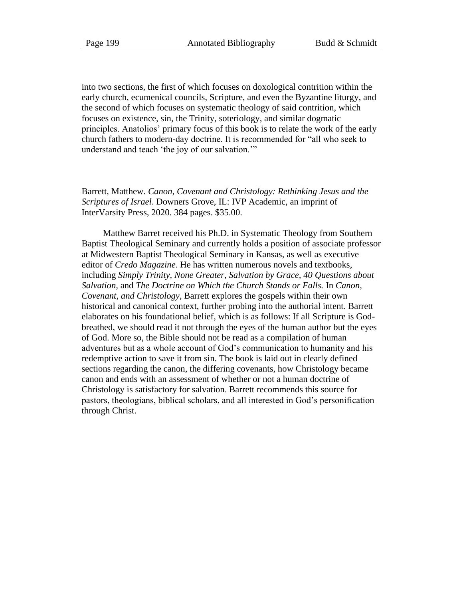into two sections, the first of which focuses on doxological contrition within the early church, ecumenical councils, Scripture, and even the Byzantine liturgy, and the second of which focuses on systematic theology of said contrition, which focuses on existence, sin, the Trinity, soteriology, and similar dogmatic principles. Anatolios' primary focus of this book is to relate the work of the early church fathers to modern-day doctrine. It is recommended for "all who seek to understand and teach 'the joy of our salvation.'"

Barrett, Matthew. *Canon, Covenant and Christology: Rethinking Jesus and the Scriptures of Israel*. Downers Grove, IL: IVP Academic, an imprint of InterVarsity Press, 2020. 384 pages. \$35.00.

Matthew Barret received his Ph.D. in Systematic Theology from Southern Baptist Theological Seminary and currently holds a position of associate professor at Midwestern Baptist Theological Seminary in Kansas, as well as executive editor of *Credo Magazine*. He has written numerous novels and textbooks, including *Simply Trinity, None Greater, Salvation by Grace, 40 Questions about Salvation,* and *The Doctrine on Which the Church Stands or Falls.* In *Canon, Covenant, and Christology*, Barrett explores the gospels within their own historical and canonical context, further probing into the authorial intent. Barrett elaborates on his foundational belief, which is as follows: If all Scripture is Godbreathed, we should read it not through the eyes of the human author but the eyes of God. More so, the Bible should not be read as a compilation of human adventures but as a whole account of God's communication to humanity and his redemptive action to save it from sin. The book is laid out in clearly defined sections regarding the canon, the differing covenants, how Christology became canon and ends with an assessment of whether or not a human doctrine of Christology is satisfactory for salvation. Barrett recommends this source for pastors, theologians, biblical scholars, and all interested in God's personification through Christ.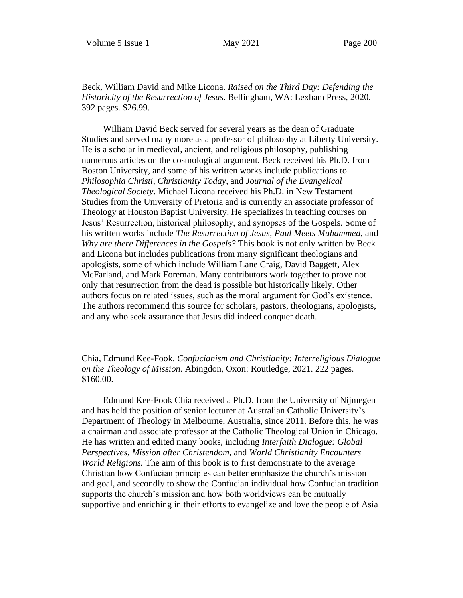Beck, William David and Mike Licona. *Raised on the Third Day: Defending the Historicity of the Resurrection of Jesus*. Bellingham, WA: Lexham Press, 2020. 392 pages. \$26.99.

William David Beck served for several years as the dean of Graduate Studies and served many more as a professor of philosophy at Liberty University. He is a scholar in medieval, ancient, and religious philosophy, publishing numerous articles on the cosmological argument. Beck received his Ph.D. from Boston University, and some of his written works include publications to *Philosophia Christi*, *Christianity Today,* and *Journal of the Evangelical Theological Society*. Michael Licona received his Ph.D. in New Testament Studies from the University of Pretoria and is currently an associate professor of Theology at Houston Baptist University. He specializes in teaching courses on Jesus' Resurrection, historical philosophy, and synopses of the Gospels. Some of his written works include *The Resurrection of Jesus, Paul Meets Muhammed,* and *Why are there Differences in the Gospels?* This book is not only written by Beck and Licona but includes publications from many significant theologians and apologists, some of which include William Lane Craig, David Baggett, Alex McFarland, and Mark Foreman. Many contributors work together to prove not only that resurrection from the dead is possible but historically likely. Other authors focus on related issues, such as the moral argument for God's existence. The authors recommend this source for scholars, pastors, theologians, apologists, and any who seek assurance that Jesus did indeed conquer death.

Chia, Edmund Kee-Fook. *Confucianism and Christianity: Interreligious Dialogue on the Theology of Mission*. Abingdon, Oxon: Routledge, 2021. 222 pages. \$160.00.

Edmund Kee-Fook Chia received a Ph.D. from the University of Nijmegen and has held the position of senior lecturer at Australian Catholic University's Department of Theology in Melbourne, Australia, since 2011. Before this, he was a chairman and associate professor at the Catholic Theological Union in Chicago. He has written and edited many books, including *Interfaith Dialogue: Global Perspectives, Mission after Christendom,* and *World Christianity Encounters World Religions.* The aim of this book is to first demonstrate to the average Christian how Confucian principles can better emphasize the church's mission and goal, and secondly to show the Confucian individual how Confucian tradition supports the church's mission and how both worldviews can be mutually supportive and enriching in their efforts to evangelize and love the people of Asia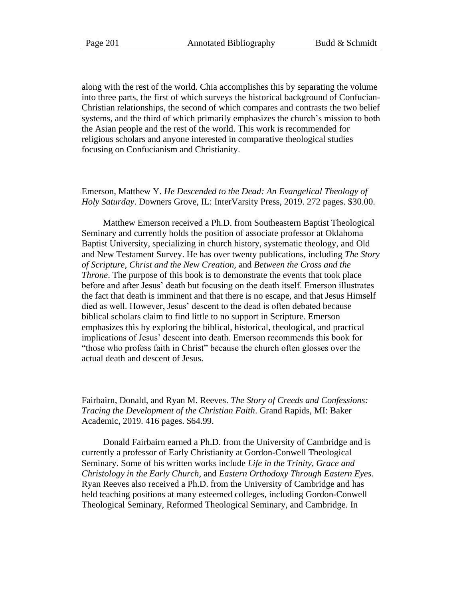along with the rest of the world. Chia accomplishes this by separating the volume into three parts, the first of which surveys the historical background of Confucian-Christian relationships, the second of which compares and contrasts the two belief systems, and the third of which primarily emphasizes the church's mission to both the Asian people and the rest of the world. This work is recommended for religious scholars and anyone interested in comparative theological studies focusing on Confucianism and Christianity.

#### Emerson, Matthew Y. *He Descended to the Dead: An Evangelical Theology of Holy Saturday*. Downers Grove, IL: InterVarsity Press, 2019. 272 pages. \$30.00.

Matthew Emerson received a Ph.D. from Southeastern Baptist Theological Seminary and currently holds the position of associate professor at Oklahoma Baptist University, specializing in church history, systematic theology, and Old and New Testament Survey. He has over twenty publications, including *The Story of Scripture, Christ and the New Creation,* and *Between the Cross and the Throne*. The purpose of this book is to demonstrate the events that took place before and after Jesus' death but focusing on the death itself. Emerson illustrates the fact that death is imminent and that there is no escape, and that Jesus Himself died as well. However, Jesus' descent to the dead is often debated because biblical scholars claim to find little to no support in Scripture. Emerson emphasizes this by exploring the biblical, historical, theological, and practical implications of Jesus' descent into death. Emerson recommends this book for "those who profess faith in Christ" because the church often glosses over the actual death and descent of Jesus.

Fairbairn, Donald, and Ryan M. Reeves. *The Story of Creeds and Confessions: Tracing the Development of the Christian Faith*. Grand Rapids, MI: Baker Academic, 2019. 416 pages. \$64.99.

Donald Fairbairn earned a Ph.D. from the University of Cambridge and is currently a professor of Early Christianity at Gordon-Conwell Theological Seminary. Some of his written works include *Life in the Trinity, Grace and Christology in the Early Church,* and *Eastern Orthodoxy Through Eastern Eyes.* Ryan Reeves also received a Ph.D. from the University of Cambridge and has held teaching positions at many esteemed colleges, including Gordon-Conwell Theological Seminary, Reformed Theological Seminary, and Cambridge. In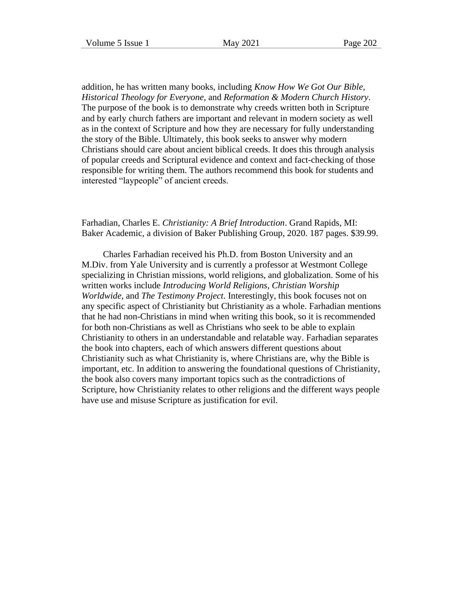addition, he has written many books, including *Know How We Got Our Bible, Historical Theology for Everyone,* and *Reformation & Modern Church History*. The purpose of the book is to demonstrate why creeds written both in Scripture and by early church fathers are important and relevant in modern society as well as in the context of Scripture and how they are necessary for fully understanding the story of the Bible. Ultimately, this book seeks to answer why modern Christians should care about ancient biblical creeds. It does this through analysis of popular creeds and Scriptural evidence and context and fact-checking of those responsible for writing them. The authors recommend this book for students and interested "laypeople" of ancient creeds.

Farhadian, Charles E. *Christianity: A Brief Introduction*. Grand Rapids, MI: Baker Academic, a division of Baker Publishing Group, 2020. 187 pages. \$39.99.

Charles Farhadian received his Ph.D. from Boston University and an M.Div. from Yale University and is currently a professor at Westmont College specializing in Christian missions, world religions, and globalization. Some of his written works include *Introducing World Religions, Christian Worship Worldwide*, and *The Testimony Project*. Interestingly, this book focuses not on any specific aspect of Christianity but Christianity as a whole. Farhadian mentions that he had non-Christians in mind when writing this book, so it is recommended for both non-Christians as well as Christians who seek to be able to explain Christianity to others in an understandable and relatable way. Farhadian separates the book into chapters, each of which answers different questions about Christianity such as what Christianity is, where Christians are, why the Bible is important, etc. In addition to answering the foundational questions of Christianity, the book also covers many important topics such as the contradictions of Scripture, how Christianity relates to other religions and the different ways people have use and misuse Scripture as justification for evil.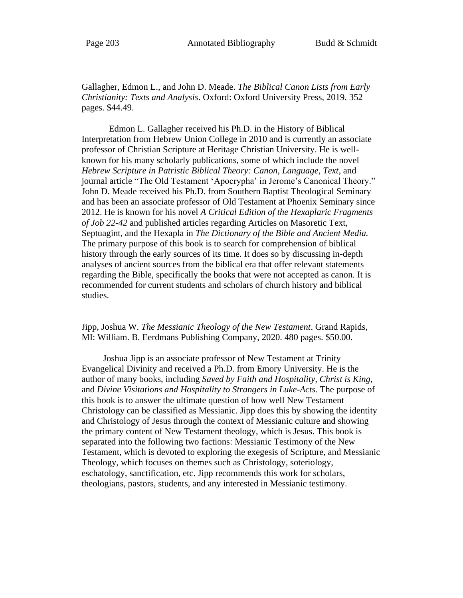Gallagher, Edmon L., and John D. Meade. *The Biblical Canon Lists from Early Christianity: Texts and Analysis*. Oxford: Oxford University Press, 2019. 352 pages. \$44.49.

Edmon L. Gallagher received his Ph.D. in the History of Biblical Interpretation from Hebrew Union College in 2010 and is currently an associate professor of Christian Scripture at Heritage Christian University. He is wellknown for his many scholarly publications, some of which include the novel *Hebrew Scripture in Patristic Biblical Theory: Canon, Language, Text*, and journal article "The Old Testament 'Apocrypha' in Jerome's Canonical Theory." John D. Meade received his Ph.D. from Southern Baptist Theological Seminary and has been an associate professor of Old Testament at Phoenix Seminary since 2012. He is known for his novel *A Critical Edition of the Hexaplaric Fragments of Job 22-42* and published articles regarding Articles on Masoretic Text, Septuagint, and the Hexapla in *The Dictionary of the Bible and Ancient Media.* The primary purpose of this book is to search for comprehension of biblical history through the early sources of its time. It does so by discussing in-depth analyses of ancient sources from the biblical era that offer relevant statements regarding the Bible, specifically the books that were not accepted as canon. It is recommended for current students and scholars of church history and biblical studies.

#### Jipp, Joshua W. *The Messianic Theology of the New Testament*. Grand Rapids, MI: William. B. Eerdmans Publishing Company, 2020. 480 pages. \$50.00.

Joshua Jipp is an associate professor of New Testament at Trinity Evangelical Divinity and received a Ph.D. from Emory University. He is the author of many books, including *Saved by Faith and Hospitality, Christ is King,* and *Divine Visitations and Hospitality to Strangers in Luke-Acts.* The purpose of this book is to answer the ultimate question of how well New Testament Christology can be classified as Messianic. Jipp does this by showing the identity and Christology of Jesus through the context of Messianic culture and showing the primary content of New Testament theology, which is Jesus. This book is separated into the following two factions: Messianic Testimony of the New Testament, which is devoted to exploring the exegesis of Scripture, and Messianic Theology, which focuses on themes such as Christology, soteriology, eschatology, sanctification, etc. Jipp recommends this work for scholars, theologians, pastors, students, and any interested in Messianic testimony.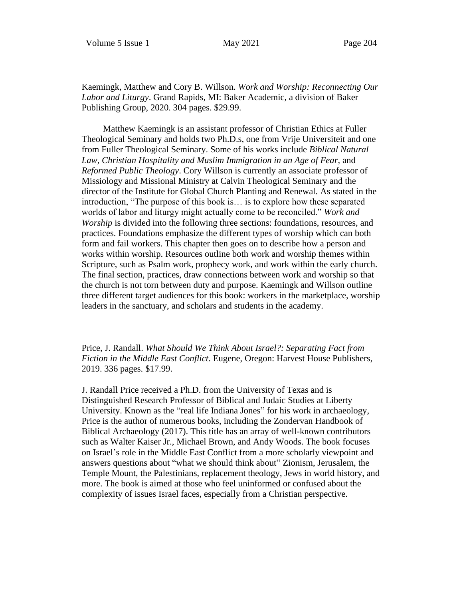Kaemingk, Matthew and Cory B. Willson. *Work and Worship: Reconnecting Our Labor and Liturgy*. Grand Rapids, MI: Baker Academic, a division of Baker Publishing Group, 2020. 304 pages. \$29.99.

Matthew Kaemingk is an assistant professor of Christian Ethics at Fuller Theological Seminary and holds two Ph.D.s, one from Vrije Universiteit and one from Fuller Theological Seminary. Some of his works include *Biblical Natural*  Law, Christian Hospitality and Muslim Immigration in an Age of Fear, and *Reformed Public Theology*. Cory Willson is currently an associate professor of Missiology and Missional Ministry at Calvin Theological Seminary and the director of the Institute for Global Church Planting and Renewal. As stated in the introduction, "The purpose of this book is… is to explore how these separated worlds of labor and liturgy might actually come to be reconciled." *Work and Worship* is divided into the following three sections: foundations, resources, and practices. Foundations emphasize the different types of worship which can both form and fail workers. This chapter then goes on to describe how a person and works within worship. Resources outline both work and worship themes within Scripture, such as Psalm work, prophecy work, and work within the early church. The final section, practices, draw connections between work and worship so that the church is not torn between duty and purpose. Kaemingk and Willson outline three different target audiences for this book: workers in the marketplace, worship leaders in the sanctuary, and scholars and students in the academy.

Price, J. Randall. *What Should We Think About Israel?: Separating Fact from Fiction in the Middle East Conflict*. Eugene, Oregon: Harvest House Publishers, 2019. 336 pages. \$17.99.

J. Randall Price received a Ph.D. from the University of Texas and is Distinguished Research Professor of Biblical and Judaic Studies at Liberty University. Known as the "real life Indiana Jones" for his work in archaeology, Price is the author of numerous books, including the Zondervan Handbook of Biblical Archaeology (2017). This title has an array of well-known contributors such as Walter Kaiser Jr., Michael Brown, and Andy Woods. The book focuses on Israel's role in the Middle East Conflict from a more scholarly viewpoint and answers questions about "what we should think about" Zionism, Jerusalem, the Temple Mount, the Palestinians, replacement theology, Jews in world history, and more. The book is aimed at those who feel uninformed or confused about the complexity of issues Israel faces, especially from a Christian perspective.